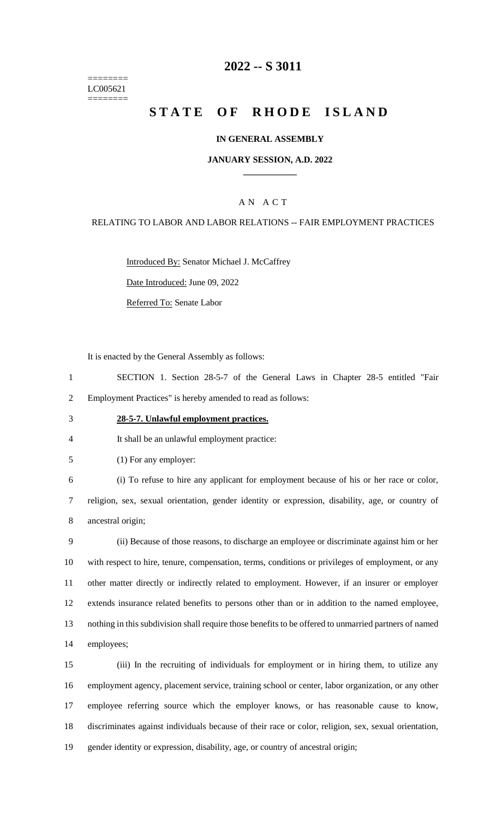======== LC005621 ========

### **-- S 3011**

# **STATE OF RHODE ISLAND**

#### **IN GENERAL ASSEMBLY**

#### **JANUARY SESSION, A.D. 2022 \_\_\_\_\_\_\_\_\_\_\_\_**

### A N A C T

#### RELATING TO LABOR AND LABOR RELATIONS -- FAIR EMPLOYMENT PRACTICES

Introduced By: Senator Michael J. McCaffrey

Date Introduced: June 09, 2022

Referred To: Senate Labor

It is enacted by the General Assembly as follows:

 SECTION 1. Section 28-5-7 of the General Laws in Chapter 28-5 entitled "Fair Employment Practices" is hereby amended to read as follows:

**28-5-7. Unlawful employment practices.**

It shall be an unlawful employment practice:

(1) For any employer:

 (i) To refuse to hire any applicant for employment because of his or her race or color, religion, sex, sexual orientation, gender identity or expression, disability, age, or country of ancestral origin;

 (ii) Because of those reasons, to discharge an employee or discriminate against him or her with respect to hire, tenure, compensation, terms, conditions or privileges of employment, or any other matter directly or indirectly related to employment. However, if an insurer or employer extends insurance related benefits to persons other than or in addition to the named employee, nothing in this subdivision shall require those benefits to be offered to unmarried partners of named employees;

 (iii) In the recruiting of individuals for employment or in hiring them, to utilize any employment agency, placement service, training school or center, labor organization, or any other employee referring source which the employer knows, or has reasonable cause to know, discriminates against individuals because of their race or color, religion, sex, sexual orientation, gender identity or expression, disability, age, or country of ancestral origin;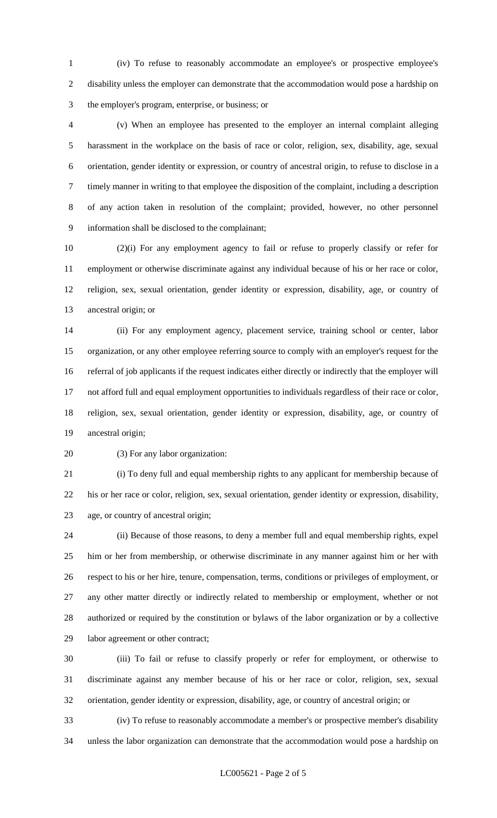(iv) To refuse to reasonably accommodate an employee's or prospective employee's disability unless the employer can demonstrate that the accommodation would pose a hardship on the employer's program, enterprise, or business; or

 (v) When an employee has presented to the employer an internal complaint alleging harassment in the workplace on the basis of race or color, religion, sex, disability, age, sexual orientation, gender identity or expression, or country of ancestral origin, to refuse to disclose in a timely manner in writing to that employee the disposition of the complaint, including a description of any action taken in resolution of the complaint; provided, however, no other personnel information shall be disclosed to the complainant;

 (2)(i) For any employment agency to fail or refuse to properly classify or refer for employment or otherwise discriminate against any individual because of his or her race or color, religion, sex, sexual orientation, gender identity or expression, disability, age, or country of ancestral origin; or

 (ii) For any employment agency, placement service, training school or center, labor organization, or any other employee referring source to comply with an employer's request for the referral of job applicants if the request indicates either directly or indirectly that the employer will not afford full and equal employment opportunities to individuals regardless of their race or color, religion, sex, sexual orientation, gender identity or expression, disability, age, or country of ancestral origin;

(3) For any labor organization:

 (i) To deny full and equal membership rights to any applicant for membership because of his or her race or color, religion, sex, sexual orientation, gender identity or expression, disability, age, or country of ancestral origin;

 (ii) Because of those reasons, to deny a member full and equal membership rights, expel him or her from membership, or otherwise discriminate in any manner against him or her with respect to his or her hire, tenure, compensation, terms, conditions or privileges of employment, or any other matter directly or indirectly related to membership or employment, whether or not authorized or required by the constitution or bylaws of the labor organization or by a collective labor agreement or other contract;

 (iii) To fail or refuse to classify properly or refer for employment, or otherwise to discriminate against any member because of his or her race or color, religion, sex, sexual orientation, gender identity or expression, disability, age, or country of ancestral origin; or

 (iv) To refuse to reasonably accommodate a member's or prospective member's disability unless the labor organization can demonstrate that the accommodation would pose a hardship on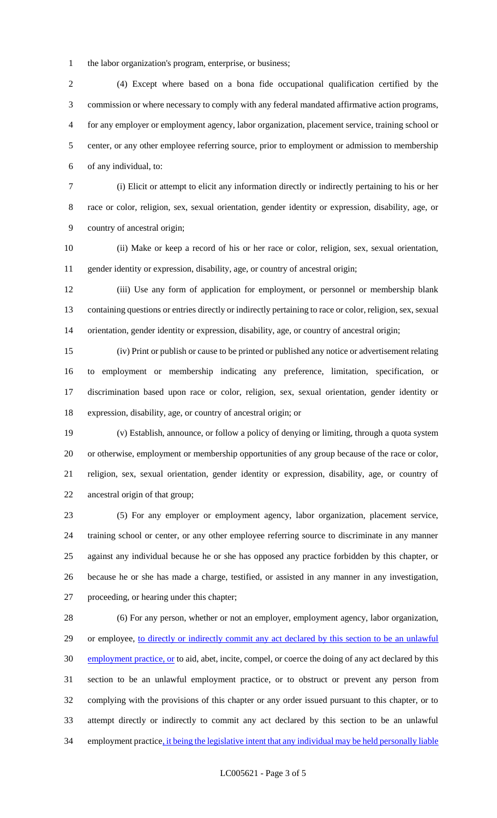the labor organization's program, enterprise, or business;

 (4) Except where based on a bona fide occupational qualification certified by the commission or where necessary to comply with any federal mandated affirmative action programs, for any employer or employment agency, labor organization, placement service, training school or center, or any other employee referring source, prior to employment or admission to membership of any individual, to:

 (i) Elicit or attempt to elicit any information directly or indirectly pertaining to his or her race or color, religion, sex, sexual orientation, gender identity or expression, disability, age, or country of ancestral origin;

 (ii) Make or keep a record of his or her race or color, religion, sex, sexual orientation, gender identity or expression, disability, age, or country of ancestral origin;

 (iii) Use any form of application for employment, or personnel or membership blank containing questions or entries directly or indirectly pertaining to race or color, religion, sex, sexual orientation, gender identity or expression, disability, age, or country of ancestral origin;

 (iv) Print or publish or cause to be printed or published any notice or advertisement relating to employment or membership indicating any preference, limitation, specification, or discrimination based upon race or color, religion, sex, sexual orientation, gender identity or expression, disability, age, or country of ancestral origin; or

 (v) Establish, announce, or follow a policy of denying or limiting, through a quota system or otherwise, employment or membership opportunities of any group because of the race or color, religion, sex, sexual orientation, gender identity or expression, disability, age, or country of ancestral origin of that group;

 (5) For any employer or employment agency, labor organization, placement service, training school or center, or any other employee referring source to discriminate in any manner against any individual because he or she has opposed any practice forbidden by this chapter, or because he or she has made a charge, testified, or assisted in any manner in any investigation, proceeding, or hearing under this chapter;

 (6) For any person, whether or not an employer, employment agency, labor organization, 29 or employee, to directly or indirectly commit any act declared by this section to be an unlawful 30 employment practice, or to aid, abet, incite, compel, or coerce the doing of any act declared by this section to be an unlawful employment practice, or to obstruct or prevent any person from complying with the provisions of this chapter or any order issued pursuant to this chapter, or to attempt directly or indirectly to commit any act declared by this section to be an unlawful 34 employment practice, it being the legislative intent that any individual may be held personally liable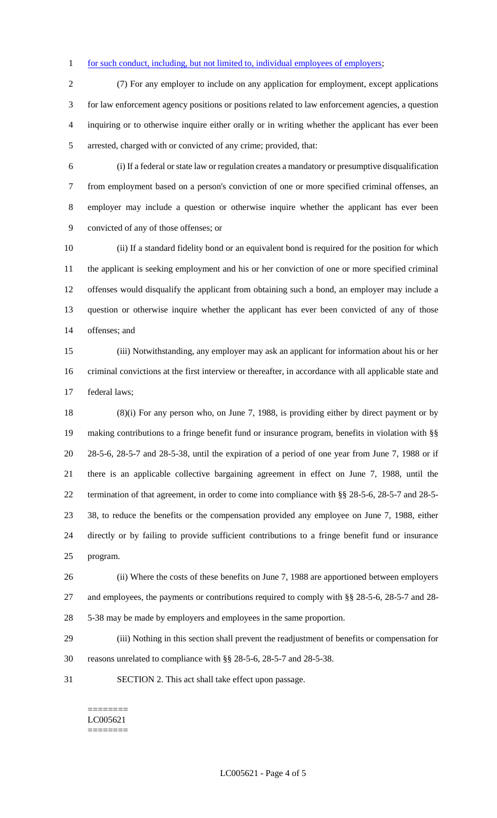#### 1 for such conduct, including, but not limited to, individual employees of employers;

 (7) For any employer to include on any application for employment, except applications for law enforcement agency positions or positions related to law enforcement agencies, a question inquiring or to otherwise inquire either orally or in writing whether the applicant has ever been arrested, charged with or convicted of any crime; provided, that:

 (i) If a federal or state law or regulation creates a mandatory or presumptive disqualification from employment based on a person's conviction of one or more specified criminal offenses, an employer may include a question or otherwise inquire whether the applicant has ever been convicted of any of those offenses; or

 (ii) If a standard fidelity bond or an equivalent bond is required for the position for which the applicant is seeking employment and his or her conviction of one or more specified criminal offenses would disqualify the applicant from obtaining such a bond, an employer may include a question or otherwise inquire whether the applicant has ever been convicted of any of those offenses; and

 (iii) Notwithstanding, any employer may ask an applicant for information about his or her criminal convictions at the first interview or thereafter, in accordance with all applicable state and federal laws;

 (8)(i) For any person who, on June 7, 1988, is providing either by direct payment or by making contributions to a fringe benefit fund or insurance program, benefits in violation with §§ 28-5-6, 28-5-7 and 28-5-38, until the expiration of a period of one year from June 7, 1988 or if there is an applicable collective bargaining agreement in effect on June 7, 1988, until the termination of that agreement, in order to come into compliance with §§ 28-5-6, 28-5-7 and 28-5- 38, to reduce the benefits or the compensation provided any employee on June 7, 1988, either directly or by failing to provide sufficient contributions to a fringe benefit fund or insurance program.

 (ii) Where the costs of these benefits on June 7, 1988 are apportioned between employers and employees, the payments or contributions required to comply with §§ 28-5-6, 28-5-7 and 28- 5-38 may be made by employers and employees in the same proportion.

 (iii) Nothing in this section shall prevent the readjustment of benefits or compensation for reasons unrelated to compliance with §§ 28-5-6, 28-5-7 and 28-5-38.

SECTION 2. This act shall take effect upon passage.

======== LC005621 ========